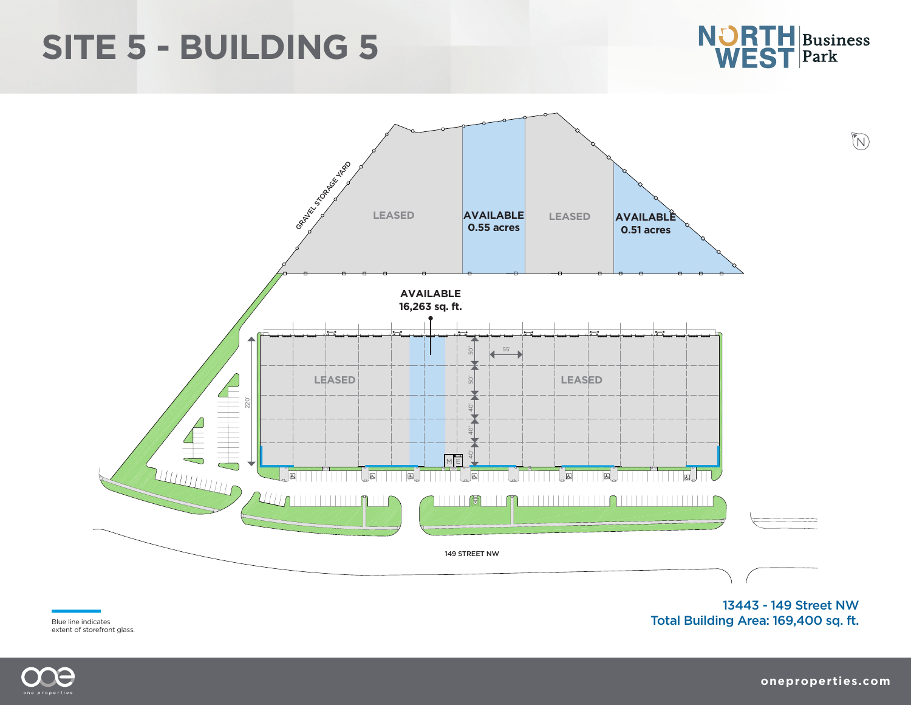## **SITE 5 - BUILDING 5**





Blue line indicates extent of storefront glass.

13443 - 149 Street NW Total Building Area: 169,400 sq. ft.